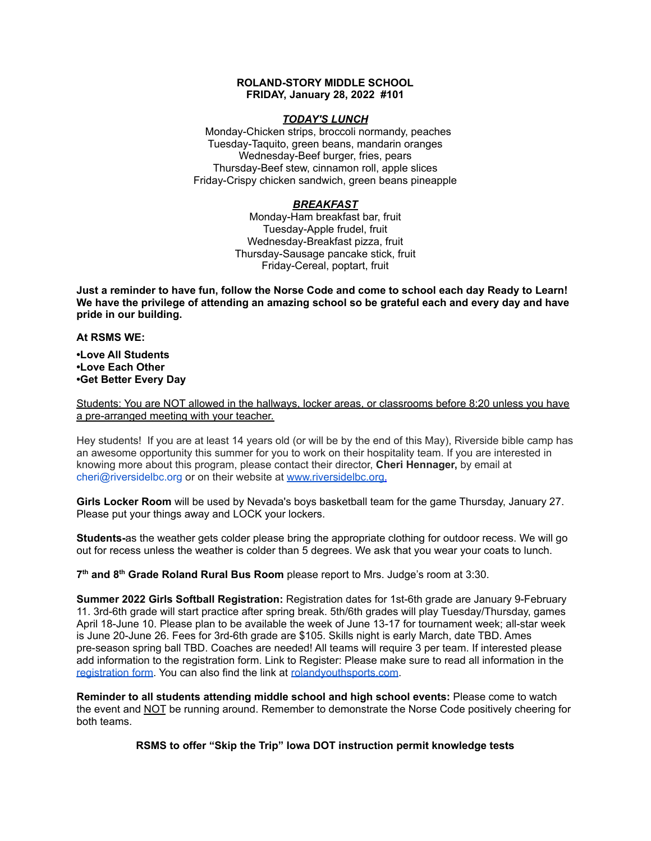### **ROLAND-STORY MIDDLE SCHOOL FRIDAY, January 28, 2022 #101**

### *TODAY'S LUNCH*

Monday-Chicken strips, broccoli normandy, peaches Tuesday-Taquito, green beans, mandarin oranges Wednesday-Beef burger, fries, pears Thursday-Beef stew, cinnamon roll, apple slices Friday-Crispy chicken sandwich, green beans pineapple

## *BREAKFAST*

Monday-Ham breakfast bar, fruit Tuesday-Apple frudel, fruit Wednesday-Breakfast pizza, fruit Thursday-Sausage pancake stick, fruit Friday-Cereal, poptart, fruit

Just a reminder to have fun, follow the Norse Code and come to school each day Ready to Learn! **We have the privilege of attending an amazing school so be grateful each and every day and have pride in our building.**

#### **At RSMS WE:**

**•Love All Students •Love Each Other •Get Better Every Day**

Students: You are NOT allowed in the hallways, locker areas, or classrooms before 8:20 unless you have a pre-arranged meeting with your teacher.

Hey students! If you are at least 14 years old (or will be by the end of this May), Riverside bible camp has an awesome opportunity this summer for you to work on their hospitality team. If you are interested in knowing more about this program, please contact their director, **Cheri Hennager,** by email at cheri@riversidelbc.org or on their website at [www.riversidelbc.org.](http://www.riversidelbc.org/)

**Girls Locker Room** will be used by Nevada's boys basketball team for the game Thursday, January 27. Please put your things away and LOCK your lockers.

**Students-**as the weather gets colder please bring the appropriate clothing for outdoor recess. We will go out for recess unless the weather is colder than 5 degrees. We ask that you wear your coats to lunch.

**7 th and 8 th Grade Roland Rural Bus Room** please report to Mrs. Judge's room at 3:30.

**Summer 2022 Girls Softball Registration:** Registration dates for 1st-6th grade are January 9-February 11. 3rd-6th grade will start practice after spring break. 5th/6th grades will play Tuesday/Thursday, games April 18-June 10. Please plan to be available the week of June 13-17 for tournament week; all-star week is June 20-June 26. Fees for 3rd-6th grade are \$105. Skills night is early March, date TBD. Ames pre-season spring ball TBD. Coaches are needed! All teams will require 3 per team. If interested please add information to the registration form. Link to Register: Please make sure to read all information in th[e](https://rolandyouthsports.com/summer-2022-softball-registration-form/) [registration](https://rolandyouthsports.com/summer-2022-softball-registration-form/) form. You can also find the link at [rolandyouthsports.com](http://rolandyouthsports.com/).

**Reminder to all students attending middle school and high school events:** Please come to watch the event and NOT be running around. Remember to demonstrate the Norse Code positively cheering for both teams.

**RSMS to offer "Skip the Trip" Iowa DOT instruction permit knowledge tests**